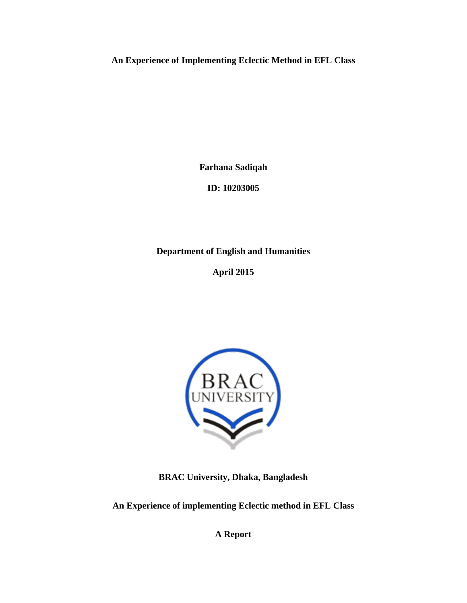**An Experience of Implementing Eclectic Method in EFL Class**

**Farhana Sadiqah**

**ID: 10203005**

**Department of English and Humanities** 

**April 2015**



**BRAC University, Dhaka, Bangladesh**

**An Experience of implementing Eclectic method in EFL Class**

**A Report**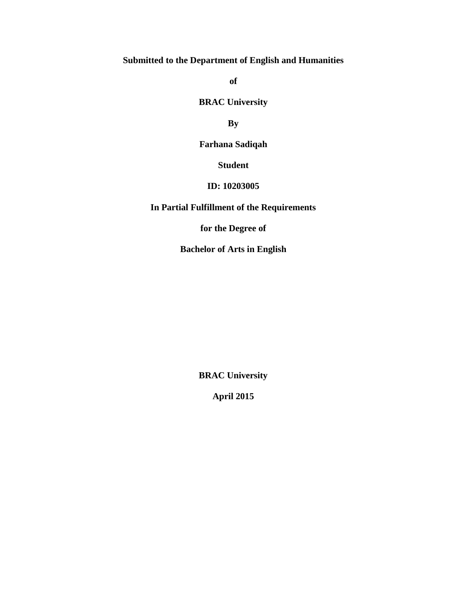# **Submitted to the Department of English and Humanities**

**of** 

**BRAC University** 

**By**

**Farhana Sadiqah**

**Student**

## **ID: 10203005**

# **In Partial Fulfillment of the Requirements**

**for the Degree of**

**Bachelor of Arts in English**

**BRAC University**

**April 2015**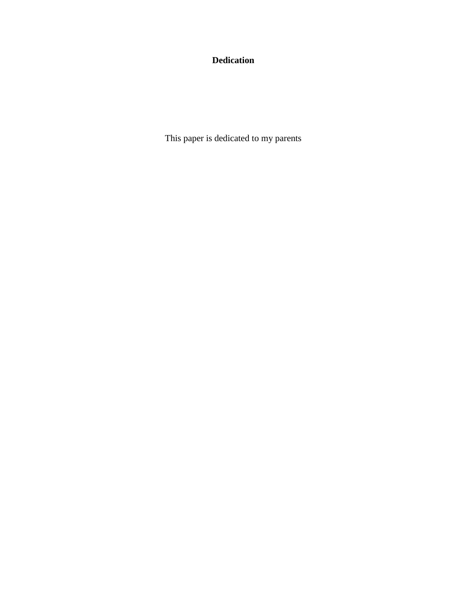# **Dedication**

This paper is dedicated to my parents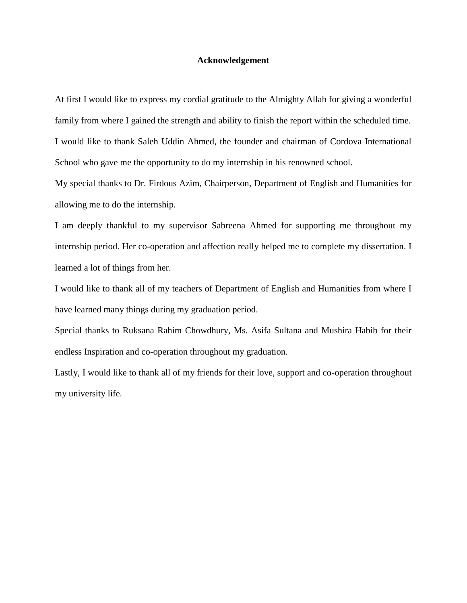#### **Acknowledgement**

At first I would like to express my cordial gratitude to the Almighty Allah for giving a wonderful family from where I gained the strength and ability to finish the report within the scheduled time. I would like to thank Saleh Uddin Ahmed, the founder and chairman of Cordova International School who gave me the opportunity to do my internship in his renowned school.

My special thanks to Dr. Firdous Azim, Chairperson, Department of English and Humanities for allowing me to do the internship.

I am deeply thankful to my supervisor Sabreena Ahmed for supporting me throughout my internship period. Her co-operation and affection really helped me to complete my dissertation. I learned a lot of things from her.

I would like to thank all of my teachers of Department of English and Humanities from where I have learned many things during my graduation period.

Special thanks to Ruksana Rahim Chowdhury, Ms. Asifa Sultana and Mushira Habib for their endless Inspiration and co-operation throughout my graduation.

Lastly, I would like to thank all of my friends for their love, support and co-operation throughout my university life.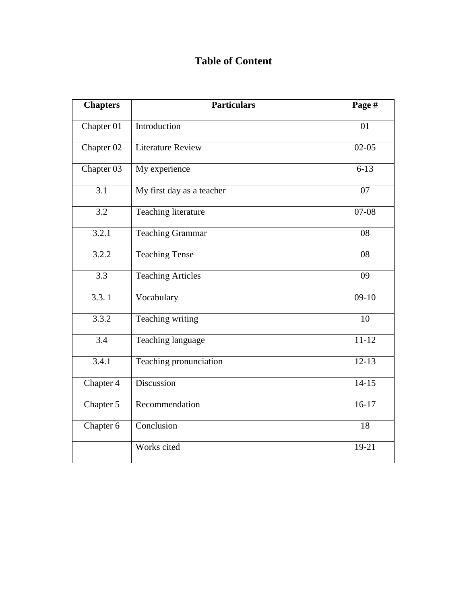# **Table of Content**

| <b>Chapters</b>  | <b>Particulars</b>        | Page #    |
|------------------|---------------------------|-----------|
| Chapter 01       | Introduction              | 01        |
| Chapter 02       | <b>Literature Review</b>  | $02-05$   |
| Chapter 03       | My experience             | $6 - 13$  |
| 3.1              | My first day as a teacher | 07        |
| 3.2              | Teaching literature       | $07-08$   |
| 3.2.1            | <b>Teaching Grammar</b>   | 08        |
| 3.2.2            | <b>Teaching Tense</b>     | 08        |
| $\overline{3.3}$ | <b>Teaching Articles</b>  | 09        |
| 3.3.1            | Vocabulary                | $09-10$   |
| 3.3.2            | Teaching writing          | 10        |
| 3.4              | Teaching language         | $11 - 12$ |
| 3.4.1            | Teaching pronunciation    | $12-13$   |
| Chapter 4        | Discussion                | $14-15$   |
| Chapter 5        | Recommendation            | $16-17$   |
| Chapter 6        | Conclusion                | 18        |
|                  | Works cited               | 19-21     |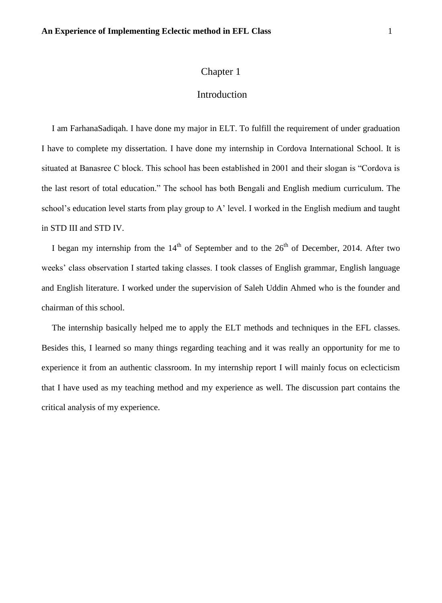## Introduction

I am FarhanaSadiqah. I have done my major in ELT. To fulfill the requirement of under graduation I have to complete my dissertation. I have done my internship in Cordova International School. It is situated at Banasree C block. This school has been established in 2001 and their slogan is "Cordova is the last resort of total education." The school has both Bengali and English medium curriculum. The school"s education level starts from play group to A" level. I worked in the English medium and taught in STD III and STD IV.

I began my internship from the  $14<sup>th</sup>$  of September and to the  $26<sup>th</sup>$  of December, 2014. After two weeks" class observation I started taking classes. I took classes of English grammar, English language and English literature. I worked under the supervision of Saleh Uddin Ahmed who is the founder and chairman of this school.

The internship basically helped me to apply the ELT methods and techniques in the EFL classes. Besides this, I learned so many things regarding teaching and it was really an opportunity for me to experience it from an authentic classroom. In my internship report I will mainly focus on eclecticism that I have used as my teaching method and my experience as well. The discussion part contains the critical analysis of my experience.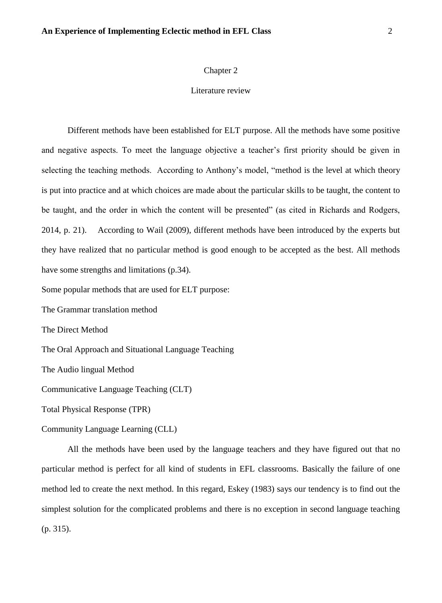#### Literature review

Different methods have been established for ELT purpose. All the methods have some positive and negative aspects. To meet the language objective a teacher"s first priority should be given in selecting the teaching methods. According to Anthony"s model, "method is the level at which theory is put into practice and at which choices are made about the particular skills to be taught, the content to be taught, and the order in which the content will be presented" (as cited in Richards and Rodgers, 2014, p. 21). According to Wail (2009), different methods have been introduced by the experts but they have realized that no particular method is good enough to be accepted as the best. All methods have some strengths and limitations (p.34).

Some popular methods that are used for ELT purpose:

The Grammar translation method

The Direct Method

The Oral Approach and Situational Language Teaching

The Audio lingual Method

Communicative Language Teaching (CLT)

Total Physical Response (TPR)

Community Language Learning (CLL)

All the methods have been used by the language teachers and they have figured out that no particular method is perfect for all kind of students in EFL classrooms. Basically the failure of one method led to create the next method. In this regard, Eskey (1983) says our tendency is to find out the simplest solution for the complicated problems and there is no exception in second language teaching (p. 315).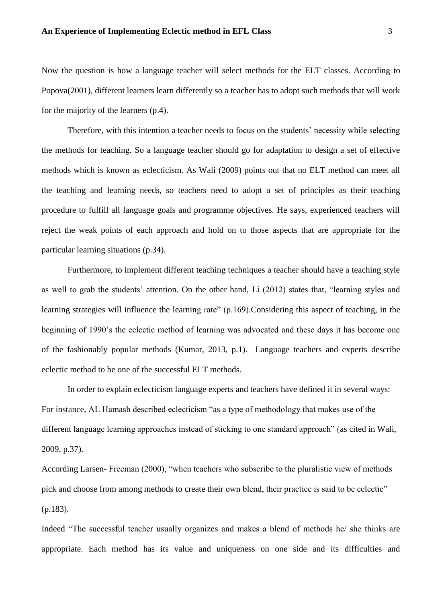Now the question is how a language teacher will select methods for the ELT classes. According to Popova(2001), different learners learn differently so a teacher has to adopt such methods that will work for the majority of the learners (p.4).

Therefore, with this intention a teacher needs to focus on the students" necessity while selecting the methods for teaching. So a language teacher should go for adaptation to design a set of effective methods which is known as eclecticism. As Wali (2009) points out that no ELT method can meet all the teaching and learning needs, so teachers need to adopt a set of principles as their teaching procedure to fulfill all language goals and programme objectives. He says, experienced teachers will reject the weak points of each approach and hold on to those aspects that are appropriate for the particular learning situations (p.34).

Furthermore, to implement different teaching techniques a teacher should have a teaching style as well to grab the students' attention. On the other hand, Li (2012) states that, "learning styles and learning strategies will influence the learning rate" (p.169). Considering this aspect of teaching, in the beginning of 1990's the eclectic method of learning was advocated and these days it has become one of the fashionably popular methods (Kumar, 2013, p.1). Language teachers and experts describe eclectic method to be one of the successful ELT methods.

In order to explain eclecticism language experts and teachers have defined it in several ways: For instance, AL Hamash described eclecticism "as a type of methodology that makes use of the different language learning approaches instead of sticking to one standard approach" (as cited in Wali, 2009, p.37).

According Larsen- Freeman (2000), "when teachers who subscribe to the pluralistic view of methods pick and choose from among methods to create their own blend, their practice is said to be eclectic" (p.183).

Indeed "The successful teacher usually organizes and makes a blend of methods he/ she thinks are appropriate. Each method has its value and uniqueness on one side and its difficulties and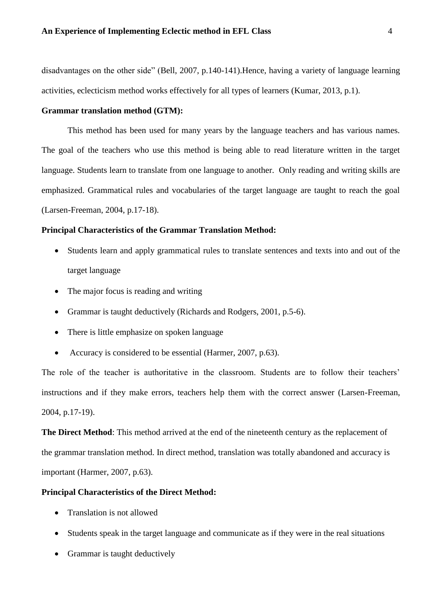disadvantages on the other side" (Bell, 2007, p.140-141).Hence, having a variety of language learning activities, eclecticism method works effectively for all types of learners (Kumar, 2013, p.1).

## **Grammar translation method (GTM):**

This method has been used for many years by the language teachers and has various names. The goal of the teachers who use this method is being able to read literature written in the target language. Students learn to translate from one language to another. Only reading and writing skills are emphasized. Grammatical rules and vocabularies of the target language are taught to reach the goal (Larsen-Freeman, 2004, p.17-18).

## **Principal Characteristics of the Grammar Translation Method:**

- Students learn and apply grammatical rules to translate sentences and texts into and out of the target language
- The major focus is reading and writing
- Grammar is taught deductively (Richards and Rodgers, 2001, p.5-6).
- There is little emphasize on spoken language
- Accuracy is considered to be essential (Harmer, 2007, p.63).

The role of the teacher is authoritative in the classroom. Students are to follow their teachers' instructions and if they make errors, teachers help them with the correct answer (Larsen-Freeman, 2004, p.17-19).

**The Direct Method**: This method arrived at the end of the nineteenth century as the replacement of the grammar translation method. In direct method, translation was totally abandoned and accuracy is important (Harmer, 2007, p.63).

#### **Principal Characteristics of the Direct Method:**

- Translation is not allowed
- Students speak in the target language and communicate as if they were in the real situations
- Grammar is taught deductively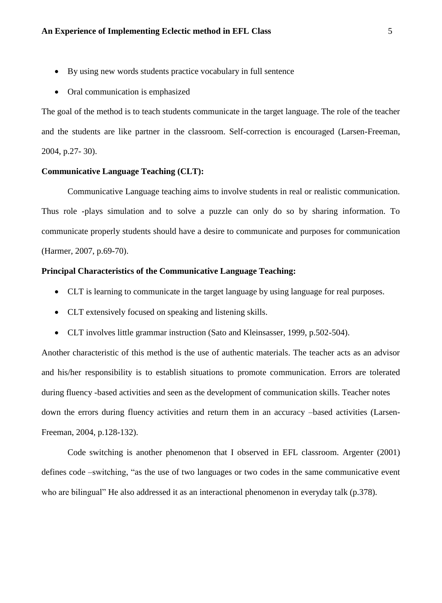- By using new words students practice vocabulary in full sentence
- Oral communication is emphasized

The goal of the method is to teach students communicate in the target language. The role of the teacher and the students are like partner in the classroom. Self-correction is encouraged (Larsen-Freeman, 2004, p.27- 30).

#### **Communicative Language Teaching (CLT):**

Communicative Language teaching aims to involve students in real or realistic communication. Thus role -plays simulation and to solve a puzzle can only do so by sharing information. To communicate properly students should have a desire to communicate and purposes for communication (Harmer, 2007, p.69-70).

## **Principal Characteristics of the Communicative Language Teaching:**

- CLT is learning to communicate in the target language by using language for real purposes.
- CLT extensively focused on speaking and listening skills.
- CLT involves little grammar instruction (Sato and Kleinsasser, 1999, p.502-504).

Another characteristic of this method is the use of authentic materials. The teacher acts as an advisor and his/her responsibility is to establish situations to promote communication. Errors are tolerated during fluency -based activities and seen as the development of communication skills. Teacher notes down the errors during fluency activities and return them in an accuracy –based activities (Larsen-Freeman, 2004, p.128-132).

Code switching is another phenomenon that I observed in EFL classroom. Argenter (2001) defines code –switching, "as the use of two languages or two codes in the same communicative event who are bilingual" He also addressed it as an interactional phenomenon in everyday talk (p.378).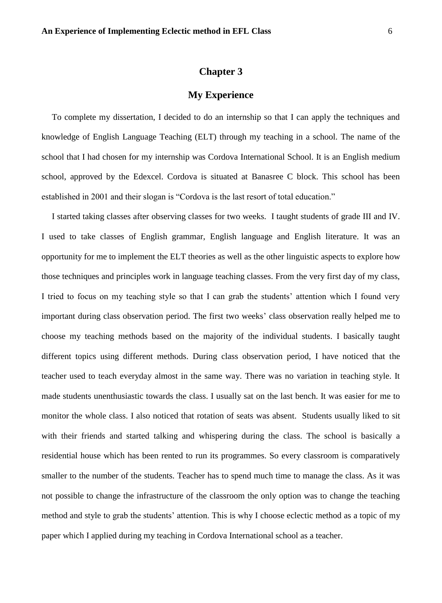## **My Experience**

To complete my dissertation, I decided to do an internship so that I can apply the techniques and knowledge of English Language Teaching (ELT) through my teaching in a school. The name of the school that I had chosen for my internship was Cordova International School. It is an English medium school, approved by the Edexcel. Cordova is situated at Banasree C block. This school has been established in 2001 and their slogan is "Cordova is the last resort of total education."

I started taking classes after observing classes for two weeks. I taught students of grade III and IV. I used to take classes of English grammar, English language and English literature. It was an opportunity for me to implement the ELT theories as well as the other linguistic aspects to explore how those techniques and principles work in language teaching classes. From the very first day of my class, I tried to focus on my teaching style so that I can grab the students' attention which I found very important during class observation period. The first two weeks" class observation really helped me to choose my teaching methods based on the majority of the individual students. I basically taught different topics using different methods. During class observation period, I have noticed that the teacher used to teach everyday almost in the same way. There was no variation in teaching style. It made students unenthusiastic towards the class. I usually sat on the last bench. It was easier for me to monitor the whole class. I also noticed that rotation of seats was absent. Students usually liked to sit with their friends and started talking and whispering during the class. The school is basically a residential house which has been rented to run its programmes. So every classroom is comparatively smaller to the number of the students. Teacher has to spend much time to manage the class. As it was not possible to change the infrastructure of the classroom the only option was to change the teaching method and style to grab the students' attention. This is why I choose eclectic method as a topic of my paper which I applied during my teaching in Cordova International school as a teacher.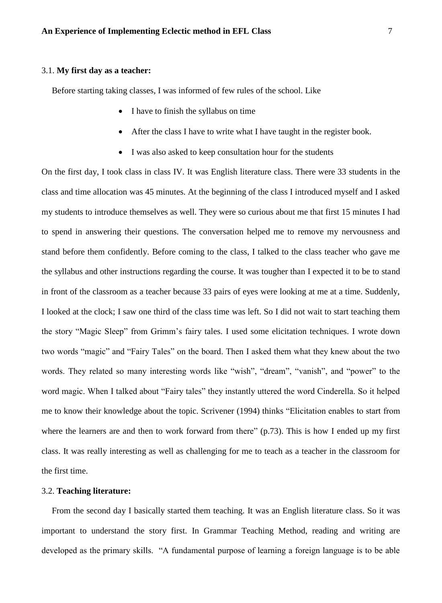#### 3.1. **My first day as a teacher:**

Before starting taking classes, I was informed of few rules of the school. Like

- I have to finish the syllabus on time
- After the class I have to write what I have taught in the register book.
- I was also asked to keep consultation hour for the students

On the first day, I took class in class IV. It was English literature class. There were 33 students in the class and time allocation was 45 minutes. At the beginning of the class I introduced myself and I asked my students to introduce themselves as well. They were so curious about me that first 15 minutes I had to spend in answering their questions. The conversation helped me to remove my nervousness and stand before them confidently. Before coming to the class, I talked to the class teacher who gave me the syllabus and other instructions regarding the course. It was tougher than I expected it to be to stand in front of the classroom as a teacher because 33 pairs of eyes were looking at me at a time. Suddenly, I looked at the clock; I saw one third of the class time was left. So I did not wait to start teaching them the story "Magic Sleep" from Grimm"s fairy tales. I used some elicitation techniques. I wrote down two words "magic" and "Fairy Tales" on the board. Then I asked them what they knew about the two words. They related so many interesting words like "wish", "dream", "vanish", and "power" to the word magic. When I talked about "Fairy tales" they instantly uttered the word Cinderella. So it helped me to know their knowledge about the topic. Scrivener (1994) thinks "Elicitation enables to start from where the learners are and then to work forward from there" (p.73). This is how I ended up my first class. It was really interesting as well as challenging for me to teach as a teacher in the classroom for the first time.

#### 3.2. **Teaching literature:**

From the second day I basically started them teaching. It was an English literature class. So it was important to understand the story first. In Grammar Teaching Method, reading and writing are developed as the primary skills. "A fundamental purpose of learning a foreign language is to be able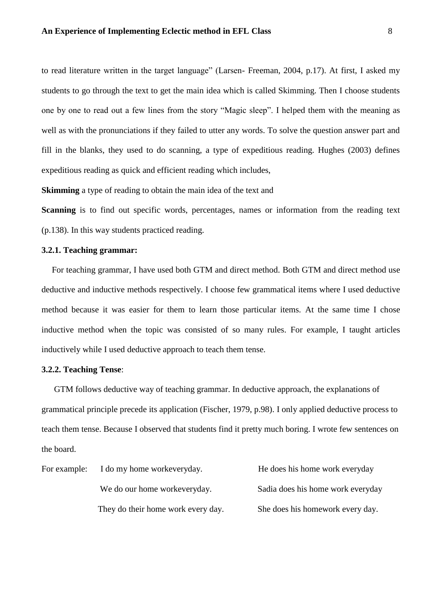to read literature written in the target language" (Larsen- Freeman, 2004, p.17). At first, I asked my students to go through the text to get the main idea which is called Skimming. Then I choose students one by one to read out a few lines from the story "Magic sleep". I helped them with the meaning as well as with the pronunciations if they failed to utter any words. To solve the question answer part and fill in the blanks, they used to do scanning, a type of expeditious reading. Hughes (2003) defines expeditious reading as quick and efficient reading which includes,

**Skimming** a type of reading to obtain the main idea of the text and

**Scanning** is to find out specific words, percentages, names or information from the reading text (p.138). In this way students practiced reading.

## **3.2.1. Teaching grammar:**

For teaching grammar, I have used both GTM and direct method. Both GTM and direct method use deductive and inductive methods respectively. I choose few grammatical items where I used deductive method because it was easier for them to learn those particular items. At the same time I chose inductive method when the topic was consisted of so many rules. For example, I taught articles inductively while I used deductive approach to teach them tense.

## **3.2.2. Teaching Tense**:

GTM follows deductive way of teaching grammar. In deductive approach, the explanations of grammatical principle precede its application (Fischer, 1979, p.98). I only applied deductive process to teach them tense. Because I observed that students find it pretty much boring. I wrote few sentences on the board.

|  | For example: I do my home workeveryday. | He does his home work everyday    |
|--|-----------------------------------------|-----------------------------------|
|  | We do our home workeveryday.            | Sadia does his home work everyday |
|  | They do their home work every day.      | She does his homework every day.  |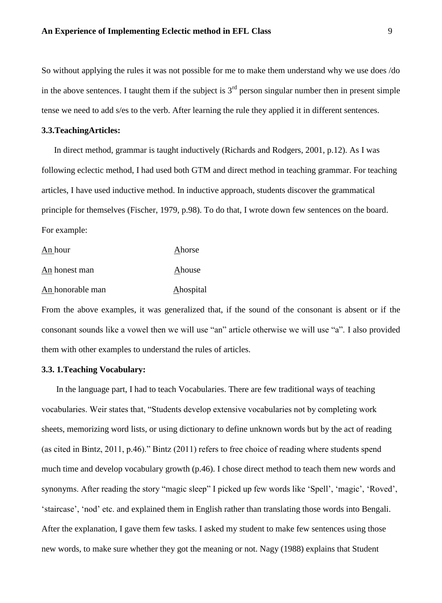So without applying the rules it was not possible for me to make them understand why we use does /do in the above sentences. I taught them if the subject is  $3<sup>rd</sup>$  person singular number then in present simple tense we need to add s/es to the verb. After learning the rule they applied it in different sentences.

#### **3.3.TeachingArticles:**

In direct method, grammar is taught inductively (Richards and Rodgers, 2001, p.12). As I was following eclectic method, I had used both GTM and direct method in teaching grammar. For teaching articles, I have used inductive method. In inductive approach, students discover the grammatical principle for themselves (Fischer, 1979, p.98). To do that, I wrote down few sentences on the board. For example:

| An hour          | Ahorse    |
|------------------|-----------|
| An honest man    | Ahouse    |
| An honorable man | Ahospital |

From the above examples, it was generalized that, if the sound of the consonant is absent or if the consonant sounds like a vowel then we will use "an" article otherwise we will use "a". I also provided them with other examples to understand the rules of articles.

## **3.3. 1.Teaching Vocabulary:**

 In the language part, I had to teach Vocabularies. There are few traditional ways of teaching vocabularies. Weir states that, "Students develop extensive vocabularies not by completing work sheets, memorizing word lists, or using dictionary to define unknown words but by the act of reading (as cited in Bintz, 2011, p.46)." Bintz (2011) refers to free choice of reading where students spend much time and develop vocabulary growth (p.46). I chose direct method to teach them new words and synonyms. After reading the story "magic sleep" I picked up few words like 'Spell', 'magic', 'Roved', 'staircase', 'nod' etc. and explained them in English rather than translating those words into Bengali. After the explanation, I gave them few tasks. I asked my student to make few sentences using those new words, to make sure whether they got the meaning or not. Nagy (1988) explains that Student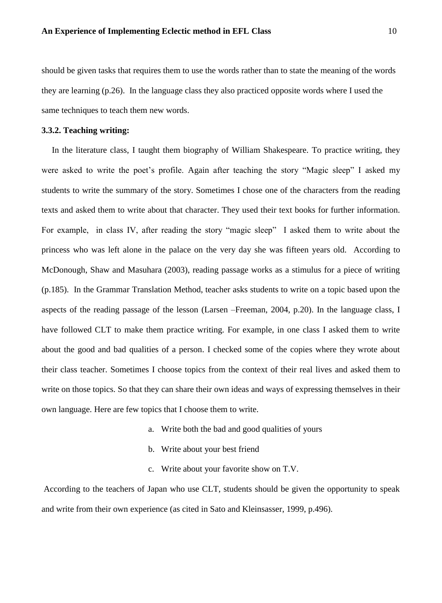should be given tasks that requires them to use the words rather than to state the meaning of the words they are learning (p.26). In the language class they also practiced opposite words where I used the same techniques to teach them new words.

#### **3.3.2. Teaching writing:**

In the literature class, I taught them biography of William Shakespeare. To practice writing, they were asked to write the poet's profile. Again after teaching the story "Magic sleep" I asked my students to write the summary of the story. Sometimes I chose one of the characters from the reading texts and asked them to write about that character. They used their text books for further information. For example, in class IV, after reading the story "magic sleep" I asked them to write about the princess who was left alone in the palace on the very day she was fifteen years old. According to McDonough, Shaw and Masuhara (2003), reading passage works as a stimulus for a piece of writing (p.185). In the Grammar Translation Method, teacher asks students to write on a topic based upon the aspects of the reading passage of the lesson (Larsen –Freeman, 2004, p.20). In the language class, I have followed CLT to make them practice writing. For example, in one class I asked them to write about the good and bad qualities of a person. I checked some of the copies where they wrote about their class teacher. Sometimes I choose topics from the context of their real lives and asked them to write on those topics. So that they can share their own ideas and ways of expressing themselves in their own language. Here are few topics that I choose them to write.

- a. Write both the bad and good qualities of yours
- b. Write about your best friend
- c. Write about your favorite show on T.V.

According to the teachers of Japan who use CLT, students should be given the opportunity to speak and write from their own experience (as cited in Sato and Kleinsasser, 1999, p.496).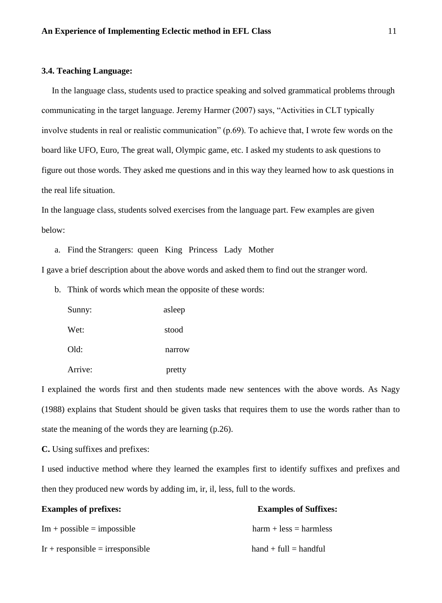## **3.4. Teaching Language:**

In the language class, students used to practice speaking and solved grammatical problems through communicating in the target language. Jeremy Harmer (2007) says, "Activities in CLT typically involve students in real or realistic communication" (p.69). To achieve that, I wrote few words on the board like UFO, Euro, The great wall, Olympic game, etc. I asked my students to ask questions to figure out those words. They asked me questions and in this way they learned how to ask questions in the real life situation.

In the language class, students solved exercises from the language part. Few examples are given below:

a. Find the Strangers: queen King Princess Lady Mother

I gave a brief description about the above words and asked them to find out the stranger word.

b. Think of words which mean the opposite of these words:

| Sunny:  | asleep |
|---------|--------|
| Wet:    | stood  |
| Old:    | narrow |
| Arrive: | pretty |

I explained the words first and then students made new sentences with the above words. As Nagy (1988) explains that Student should be given tasks that requires them to use the words rather than to state the meaning of the words they are learning (p.26).

**C.** Using suffixes and prefixes:

I used inductive method where they learned the examples first to identify suffixes and prefixes and then they produced new words by adding im, ir, il, less, full to the words.

| <b>Examples of prefixes:</b>       | <b>Examples of Suffixes:</b> |  |
|------------------------------------|------------------------------|--|
| $Im + possible = impossible$       | $harm + less = harmless$     |  |
| $Ir +$ responsible = irresponsible | $hand + full = handful$      |  |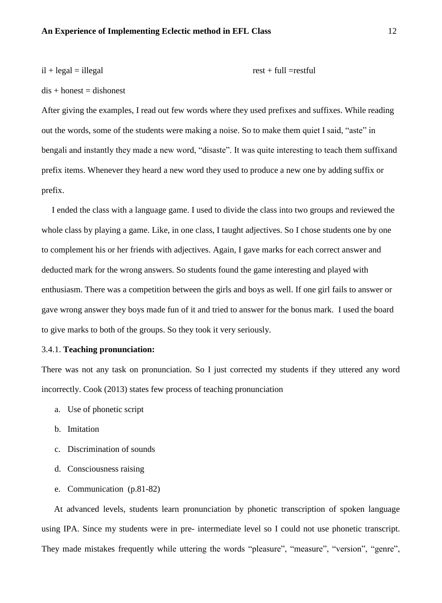$$
i\mathbf{l} + \text{legal} = i\mathbf{l}
$$

 $dis + honest = dishonest$ 

After giving the examples, I read out few words where they used prefixes and suffixes. While reading out the words, some of the students were making a noise. So to make them quiet I said, "aste" in bengali and instantly they made a new word, "disaste". It was quite interesting to teach them suffixand prefix items. Whenever they heard a new word they used to produce a new one by adding suffix or prefix.

I ended the class with a language game. I used to divide the class into two groups and reviewed the whole class by playing a game. Like, in one class, I taught adjectives. So I chose students one by one to complement his or her friends with adjectives. Again, I gave marks for each correct answer and deducted mark for the wrong answers. So students found the game interesting and played with enthusiasm. There was a competition between the girls and boys as well. If one girl fails to answer or gave wrong answer they boys made fun of it and tried to answer for the bonus mark. I used the board to give marks to both of the groups. So they took it very seriously.

#### 3.4.1. **Teaching pronunciation:**

There was not any task on pronunciation. So I just corrected my students if they uttered any word incorrectly. Cook (2013) states few process of teaching pronunciation

- a. Use of phonetic script
- b. Imitation
- c. Discrimination of sounds
- d. Consciousness raising
- e. Communication (p.81-82)

At advanced levels, students learn pronunciation by phonetic transcription of spoken language using IPA. Since my students were in pre- intermediate level so I could not use phonetic transcript. They made mistakes frequently while uttering the words "pleasure", "measure", "version", "genre",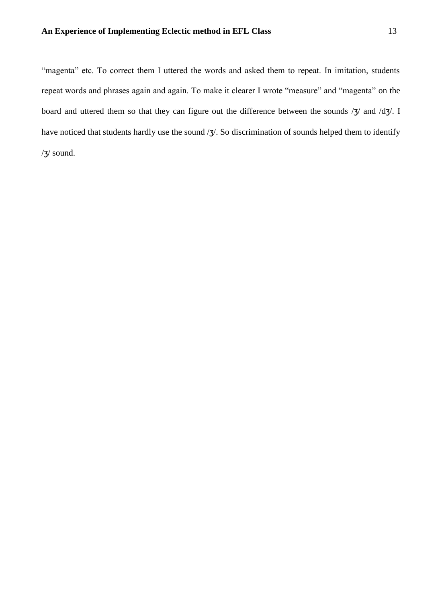"magenta" etc. To correct them I uttered the words and asked them to repeat. In imitation, students repeat words and phrases again and again. To make it clearer I wrote "measure" and "magenta" on the board and uttered them so that they can figure out the difference between the sounds /3/ and /d3/. I have noticed that students hardly use the sound / $\frac{1}{3}$ . So discrimination of sounds helped them to identify /ʒ/ sound.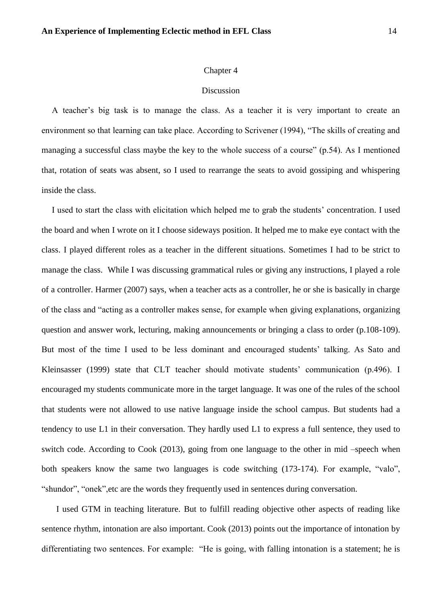#### **Discussion**

A teacher"s big task is to manage the class. As a teacher it is very important to create an environment so that learning can take place. According to Scrivener (1994), "The skills of creating and managing a successful class maybe the key to the whole success of a course" (p.54). As I mentioned that, rotation of seats was absent, so I used to rearrange the seats to avoid gossiping and whispering inside the class.

I used to start the class with elicitation which helped me to grab the students" concentration. I used the board and when I wrote on it I choose sideways position. It helped me to make eye contact with the class. I played different roles as a teacher in the different situations. Sometimes I had to be strict to manage the class. While I was discussing grammatical rules or giving any instructions, I played a role of a controller. Harmer (2007) says, when a teacher acts as a controller, he or she is basically in charge of the class and "acting as a controller makes sense, for example when giving explanations, organizing question and answer work, lecturing, making announcements or bringing a class to order (p.108-109). But most of the time I used to be less dominant and encouraged students' talking. As Sato and Kleinsasser (1999) state that CLT teacher should motivate students' communication (p.496). I encouraged my students communicate more in the target language. It was one of the rules of the school that students were not allowed to use native language inside the school campus. But students had a tendency to use L1 in their conversation. They hardly used L1 to express a full sentence, they used to switch code. According to Cook (2013), going from one language to the other in mid –speech when both speakers know the same two languages is code switching (173-174). For example, "valo", "shundor", "onek",etc are the words they frequently used in sentences during conversation.

I used GTM in teaching literature. But to fulfill reading objective other aspects of reading like sentence rhythm, intonation are also important. Cook (2013) points out the importance of intonation by differentiating two sentences. For example: "He is going, with falling intonation is a statement; he is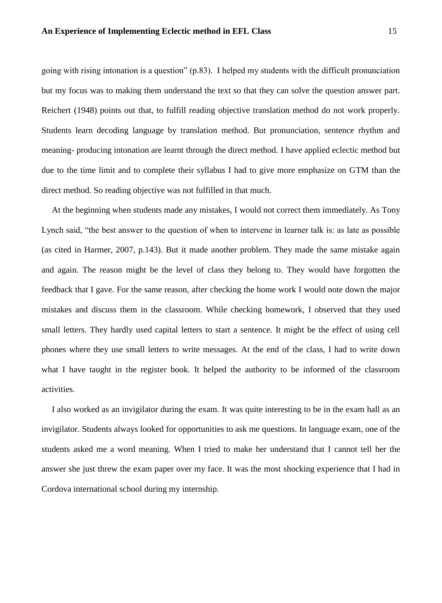going with rising intonation is a question" (p.83). I helped my students with the difficult pronunciation but my focus was to making them understand the text so that they can solve the question answer part. Reichert (1948) points out that, to fulfill reading objective translation method do not work properly. Students learn decoding language by translation method. But pronunciation, sentence rhythm and meaning- producing intonation are learnt through the direct method. I have applied eclectic method but due to the time limit and to complete their syllabus I had to give more emphasize on GTM than the direct method. So reading objective was not fulfilled in that much.

At the beginning when students made any mistakes, I would not correct them immediately. As Tony Lynch said, "the best answer to the question of when to intervene in learner talk is: as late as possible (as cited in Harmer, 2007, p.143). But it made another problem. They made the same mistake again and again. The reason might be the level of class they belong to. They would have forgotten the feedback that I gave. For the same reason, after checking the home work I would note down the major mistakes and discuss them in the classroom. While checking homework, I observed that they used small letters. They hardly used capital letters to start a sentence. It might be the effect of using cell phones where they use small letters to write messages. At the end of the class, I had to write down what I have taught in the register book. It helped the authority to be informed of the classroom activities.

I also worked as an invigilator during the exam. It was quite interesting to be in the exam hall as an invigilator. Students always looked for opportunities to ask me questions. In language exam, one of the students asked me a word meaning. When I tried to make her understand that I cannot tell her the answer she just threw the exam paper over my face. It was the most shocking experience that I had in Cordova international school during my internship.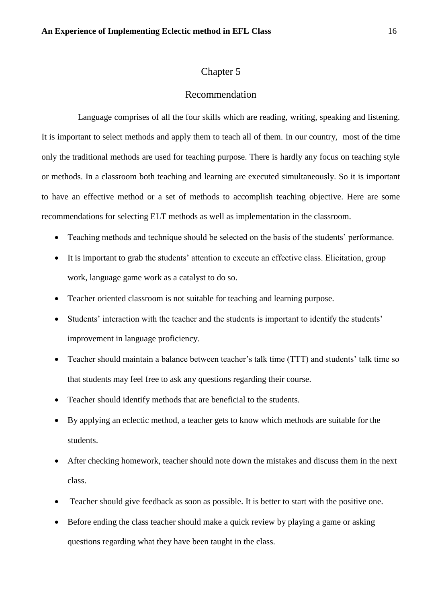## Recommendation

Language comprises of all the four skills which are reading, writing, speaking and listening. It is important to select methods and apply them to teach all of them. In our country, most of the time only the traditional methods are used for teaching purpose. There is hardly any focus on teaching style or methods. In a classroom both teaching and learning are executed simultaneously. So it is important to have an effective method or a set of methods to accomplish teaching objective. Here are some recommendations for selecting ELT methods as well as implementation in the classroom.

- Teaching methods and technique should be selected on the basis of the students' performance.
- It is important to grab the students' attention to execute an effective class. Elicitation, group work, language game work as a catalyst to do so.
- Teacher oriented classroom is not suitable for teaching and learning purpose.
- Students' interaction with the teacher and the students is important to identify the students' improvement in language proficiency.
- Teacher should maintain a balance between teacher's talk time (TTT) and students' talk time so that students may feel free to ask any questions regarding their course.
- Teacher should identify methods that are beneficial to the students.
- By applying an eclectic method, a teacher gets to know which methods are suitable for the students.
- After checking homework, teacher should note down the mistakes and discuss them in the next class.
- Teacher should give feedback as soon as possible. It is better to start with the positive one.
- Before ending the class teacher should make a quick review by playing a game or asking questions regarding what they have been taught in the class.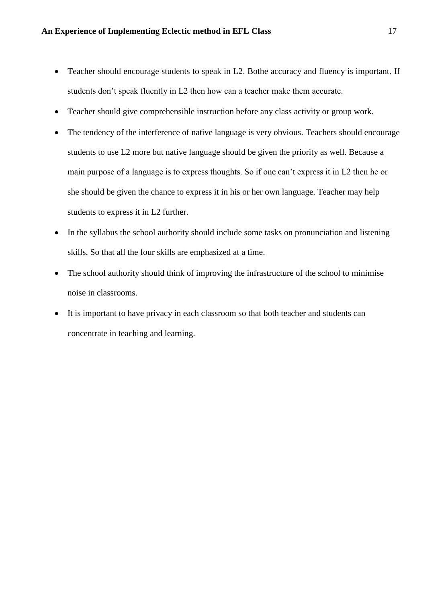- Teacher should encourage students to speak in L2. Bothe accuracy and fluency is important. If students don"t speak fluently in L2 then how can a teacher make them accurate.
- Teacher should give comprehensible instruction before any class activity or group work.
- The tendency of the interference of native language is very obvious. Teachers should encourage students to use L2 more but native language should be given the priority as well. Because a main purpose of a language is to express thoughts. So if one can"t express it in L2 then he or she should be given the chance to express it in his or her own language. Teacher may help students to express it in L2 further.
- In the syllabus the school authority should include some tasks on pronunciation and listening skills. So that all the four skills are emphasized at a time.
- The school authority should think of improving the infrastructure of the school to minimise noise in classrooms.
- It is important to have privacy in each classroom so that both teacher and students can concentrate in teaching and learning.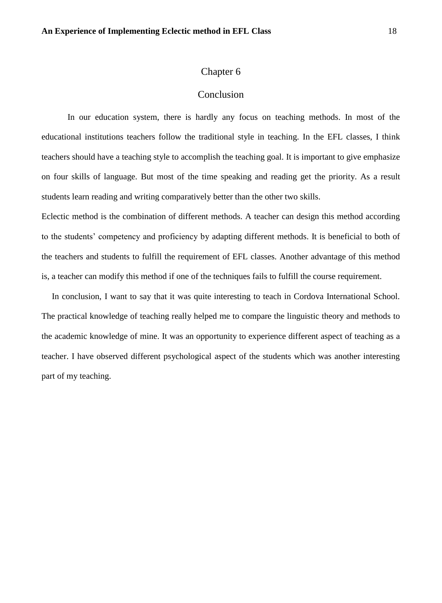## Conclusion

In our education system, there is hardly any focus on teaching methods. In most of the educational institutions teachers follow the traditional style in teaching. In the EFL classes, I think teachers should have a teaching style to accomplish the teaching goal. It is important to give emphasize on four skills of language. But most of the time speaking and reading get the priority. As a result students learn reading and writing comparatively better than the other two skills.

Eclectic method is the combination of different methods. A teacher can design this method according to the students" competency and proficiency by adapting different methods. It is beneficial to both of the teachers and students to fulfill the requirement of EFL classes. Another advantage of this method is, a teacher can modify this method if one of the techniques fails to fulfill the course requirement.

In conclusion, I want to say that it was quite interesting to teach in Cordova International School. The practical knowledge of teaching really helped me to compare the linguistic theory and methods to the academic knowledge of mine. It was an opportunity to experience different aspect of teaching as a teacher. I have observed different psychological aspect of the students which was another interesting part of my teaching.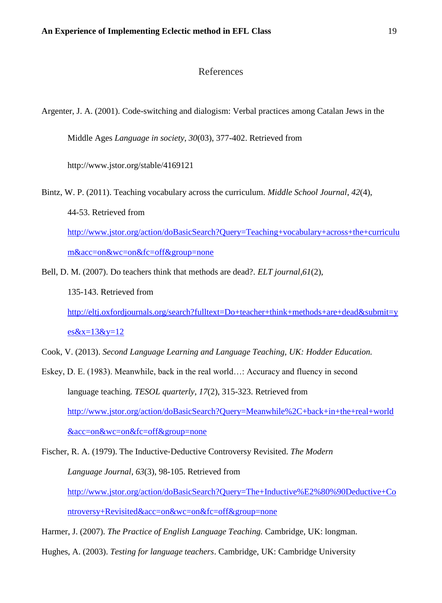## References

Argenter, J. A. (2001). Code-switching and dialogism: Verbal practices among Catalan Jews in the

Middle Ages *Language in society*, *30*(03), 377-402. Retrieved from

http://www.jstor.org/stable/4169121

Bintz, W. P. (2011). Teaching vocabulary across the curriculum. *Middle School Journal*, *42*(4), 44-53. Retrieved from [http://www.jstor.org/action/doBasicSearch?Query=Teaching+vocabulary+across+the+curriculu](http://www.jstor.org/action/doBasicSearch?Query=Teaching+vocabulary+across+the+curriculum&acc=on&wc=on&fc=off&group=none) [m&acc=on&wc=on&fc=off&group=none](http://www.jstor.org/action/doBasicSearch?Query=Teaching+vocabulary+across+the+curriculum&acc=on&wc=on&fc=off&group=none)

Bell, D. M. (2007). Do teachers think that methods are dead?. *ELT journal*,*61*(2), 135-143. Retrieved from [http://eltj.oxfordjournals.org/search?fulltext=Do+teacher+think+methods+are+dead&submit=y](http://eltj.oxfordjournals.org/search?fulltext=Do+teacher+think+methods+are+dead&submit=yes&x=13&y=12)  $es&x=13&y=12$ 

Cook, V. (2013). *Second Language Learning and Language Teaching, UK: Hodder Education.*

Eskey, D. E. (1983). Meanwhile, back in the real world…: Accuracy and fluency in second language teaching. *TESOL quarterly*, *17*(2), 315-323. Retrieved from [http://www.jstor.org/action/doBasicSearch?Query=Meanwhile%2C+back+in+the+real+world](http://www.jstor.org/action/doBasicSearch?Query=Meanwhile%2C+back+in+the+real+world&acc=on&wc=on&fc=off&group=none) [&acc=on&wc=on&fc=off&group=none](http://www.jstor.org/action/doBasicSearch?Query=Meanwhile%2C+back+in+the+real+world&acc=on&wc=on&fc=off&group=none)

Fischer, R. A. (1979). The Inductive‐Deductive Controversy Revisited. *The Modern Language Journal*, *63*(3), 98-105. Retrieved from [http://www.jstor.org/action/doBasicSearch?Query=The+Inductive%E2%80%90Deductive+Co](http://www.jstor.org/action/doBasicSearch?Query=The+Inductive%E2%80%90Deductive+Controversy+Revisited&acc=on&wc=on&fc=off&group=none) [ntroversy+Revisited&acc=on&wc=on&fc=off&group=none](http://www.jstor.org/action/doBasicSearch?Query=The+Inductive%E2%80%90Deductive+Controversy+Revisited&acc=on&wc=on&fc=off&group=none)

Harmer, J. (2007). *The Practice of English Language Teaching.* Cambridge, UK: longman.

Hughes, A. (2003). *Testing for language teachers*. Cambridge, UK: Cambridge University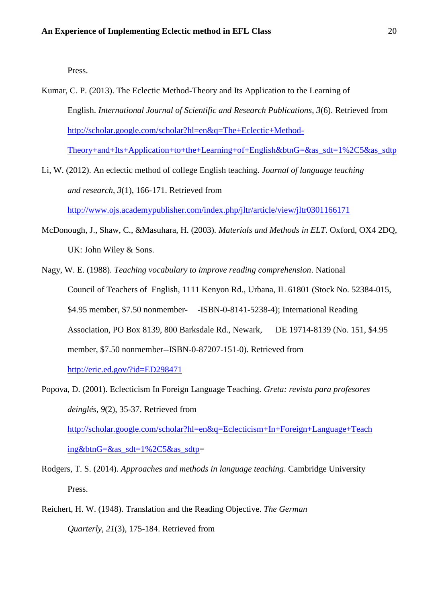Press.

- Kumar, C. P. (2013). The Eclectic Method-Theory and Its Application to the Learning of English. *International Journal of Scientific and Research Publications*, *3*(6). Retrieved from [http://scholar.google.com/scholar?hl=en&q=The+Eclectic+Method-](http://scholar.google.com/scholar?hl=en&q=The+Eclectic+Method-Theory+and+Its+Application+to+the+Learning+of+English&btnG=&as_sdt=1%2C5&as_sdtp)[Theory+and+Its+Application+to+the+Learning+of+English&btnG=&as\\_sdt=1%2C5&as\\_sdtp](http://scholar.google.com/scholar?hl=en&q=The+Eclectic+Method-Theory+and+Its+Application+to+the+Learning+of+English&btnG=&as_sdt=1%2C5&as_sdtp)
- Li, W. (2012). An eclectic method of college English teaching. *Journal of language teaching and research*, *3*(1), 166-171. Retrieved from <http://www.ojs.academypublisher.com/index.php/jltr/article/view/jltr0301166171>
- McDonough, J., Shaw, C., &Masuhara, H. (2003). *Materials and Methods in ELT*. Oxford, OX4 2DQ, UK: John Wiley & Sons.
- Nagy, W. E. (1988). *Teaching vocabulary to improve reading comprehension*. National Council of Teachers of English, 1111 Kenyon Rd., Urbana, IL 61801 (Stock No. 52384-015, \$4.95 member, \$7.50 nonmember- -ISBN-0-8141-5238-4); International Reading Association, PO Box 8139, 800 Barksdale Rd., Newark, DE 19714-8139 (No. 151, \$4.95 member, \$7.50 nonmember--ISBN-0-87207-151-0). Retrieved from <http://eric.ed.gov/?id=ED298471>

Popova, D. (2001). Eclecticism In Foreign Language Teaching. *Greta: revista para profesores deinglés*, *9*(2), 35-37. Retrieved from [http://scholar.google.com/scholar?hl=en&q=Eclecticism+In+Foreign+Language+Teach](http://scholar.google.com/scholar?hl=en&q=Eclecticism+In+Foreign+Language+Teaching&btnG=&as_sdt=1%2C5&as_sdtp)  [ing&btnG=&as\\_sdt=1%2C5&as\\_sdtp=](http://scholar.google.com/scholar?hl=en&q=Eclecticism+In+Foreign+Language+Teaching&btnG=&as_sdt=1%2C5&as_sdtp)

- Rodgers, T. S. (2014). *Approaches and methods in language teaching*. Cambridge University Press.
- Reichert, H. W. (1948). Translation and the Reading Objective. *The German Quarterly*, *21*(3), 175-184. Retrieved from